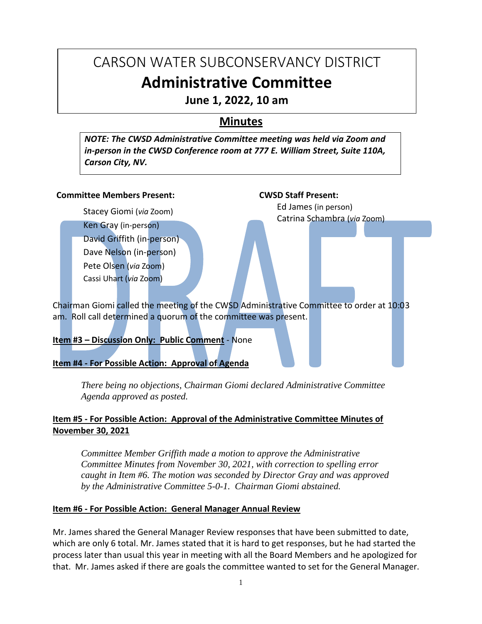# CARSON WATER SUBCONSERVANCY DISTRICT **Administrative Committee**

**June 1, 2022, 10 am**

# **Minutes**

*NOTE: The CWSD Administrative Committee meeting was held via Zoom and in-person in the CWSD Conference room at 777 E. William Street, Suite 110A, Carson City, NV.*

#### **Committee Members Present:**

Stacey Giomi (*via* Zoom) Ken Gray (in-person) David Griffith (in-person) Dave Nelson (in-person) Pete Olsen (*via* Zoom) Cassi Uhart (*via* Zoom)

**CWSD Staff Present:** Ed James (in person)

Catrina Schambra (*via* Zoom)

Chairman Giomi called the meeting of the CWSD Administrative Committee to order at 10:03 am. Roll call determined a quorum of the committee was present.

# **Item #3 – Discussion Only: Public Comment** - None

**Item #4 - For Possible Action: Approval of Agenda**

*There being no objections, Chairman Giomi declared Administrative Committee Agenda approved as posted.*

# **Item #5 - For Possible Action: Approval of the Administrative Committee Minutes of November 30, 2021**

*Committee Member Griffith made a motion to approve the Administrative Committee Minutes from November 30, 2021, with correction to spelling error caught in Item #6. The motion was seconded by Director Gray and was approved by the Administrative Committee 5-0-1. Chairman Giomi abstained.*

## **Item #6 - For Possible Action: General Manager Annual Review**

Mr. James shared the General Manager Review responses that have been submitted to date, which are only 6 total. Mr. James stated that it is hard to get responses, but he had started the process later than usual this year in meeting with all the Board Members and he apologized for that. Mr. James asked if there are goals the committee wanted to set for the General Manager.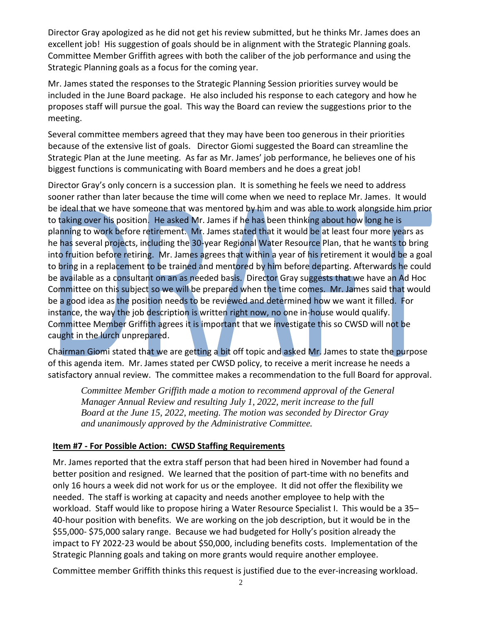Director Gray apologized as he did not get his review submitted, but he thinks Mr. James does an excellent job! His suggestion of goals should be in alignment with the Strategic Planning goals. Committee Member Griffith agrees with both the caliber of the job performance and using the Strategic Planning goals as a focus for the coming year.

Mr. James stated the responses to the Strategic Planning Session priorities survey would be included in the June Board package. He also included his response to each category and how he proposes staff will pursue the goal. This way the Board can review the suggestions prior to the meeting.

Several committee members agreed that they may have been too generous in their priorities because of the extensive list of goals. Director Giomi suggested the Board can streamline the Strategic Plan at the June meeting. As far as Mr. James' job performance, he believes one of his biggest functions is communicating with Board members and he does a great job!

Director Gray's only concern is a succession plan. It is something he feels we need to address sooner rather than later because the time will come when we need to replace Mr. James. It would be ideal that we have someone that was mentored by him and was able to work alongside him prior to taking over his position. He asked Mr. James if he has been thinking about how long he is planning to work before retirement. Mr. James stated that it would be at least four more years as he has several projects, including the 30-year Regional Water Resource Plan, that he wants to bring into fruition before retiring. Mr. James agrees that within a year of his retirement it would be a goal to bring in a replacement to be trained and mentored by him before departing. Afterwards he could be available as a consultant on an as needed basis. Director Gray suggests that we have an Ad Hoc Committee on this subject so we will be prepared when the time comes. Mr. James said that would be a good idea as the position needs to be reviewed and determined how we want it filled. For instance, the way the job description is written right now, no one in-house would qualify. Committee Member Griffith agrees it is important that we investigate this so CWSD will not be caught in the lurch unprepared.

Chairman Giomi stated that we are getting a bit off topic and asked Mr. James to state the purpose of this agenda item. Mr. James stated per CWSD policy, to receive a merit increase he needs a satisfactory annual review. The committee makes a recommendation to the full Board for approval.

*Committee Member Griffith made a motion to recommend approval of the General Manager Annual Review and resulting July 1, 2022, merit increase to the full Board at the June 15, 2022, meeting. The motion was seconded by Director Gray and unanimously approved by the Administrative Committee.*

## **Item #7 - For Possible Action: CWSD Staffing Requirements**

Mr. James reported that the extra staff person that had been hired in November had found a better position and resigned. We learned that the position of part-time with no benefits and only 16 hours a week did not work for us or the employee. It did not offer the flexibility we needed. The staff is working at capacity and needs another employee to help with the workload. Staff would like to propose hiring a Water Resource Specialist I. This would be a 35– 40-hour position with benefits. We are working on the job description, but it would be in the \$55,000- \$75,000 salary range. Because we had budgeted for Holly's position already the impact to FY 2022-23 would be about \$50,000, including benefits costs. Implementation of the Strategic Planning goals and taking on more grants would require another employee.

Committee member Griffith thinks this request is justified due to the ever-increasing workload.